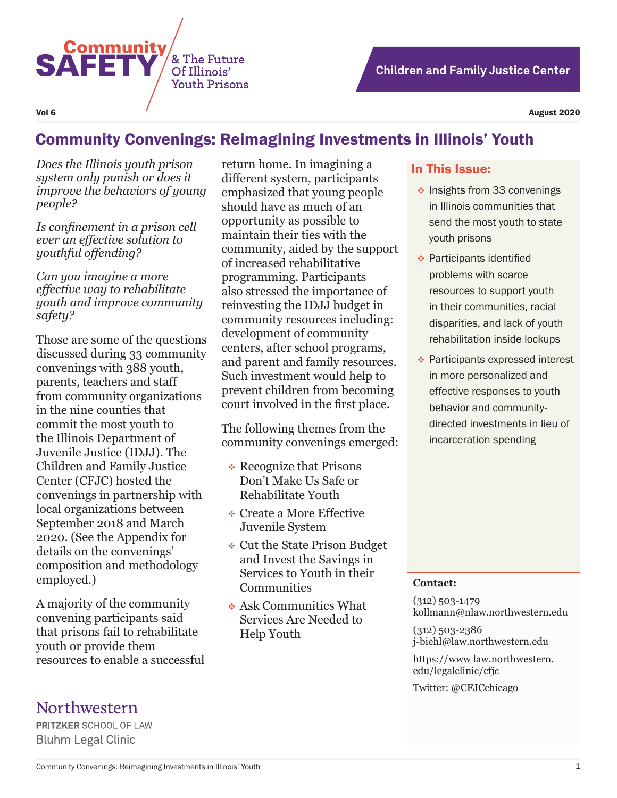

# **Children and Family Justice Center**

# Community Convenings: Reimagining Investments in Illinois' Youth

*Does the Illinois youth prison system only punish or does it improve the behaviors of young people?* 

*Is confinement in a prison cell ever an effective solution to youthful offending?* 

*Can you imagine a more effective way to rehabilitate youth and improve community safety?* 

Those are some of the questions discussed during 33 community convenings with 388 youth, parents, teachers and staff from community organizations in the nine counties that commit the most youth to the Illinois Department of Juvenile Justice (IDJJ). The Children and Family Justice Center (CFJC) hosted the convenings in partnership with local organizations between September 2018 and March 2020. (See the Appendix for details on the convenings' composition and methodology employed.)

A majority of the community convening participants said that prisons fail to rehabilitate youth or provide them resources to enable a successful

return home. In imagining a different system, participants emphasized that young people should have as much of an opportunity as possible to maintain their ties with the community, aided by the support of increased rehabilitative programming. Participants also stressed the importance of reinvesting the IDJJ budget in community resources including: development of community centers, after school programs, and parent and family resources. Such investment would help to prevent children from becoming court involved in the first place.

The following themes from the community convenings emerged:

- **↑ Recognize that Prisons** Don't Make Us Safe or Rehabilitate Youth
- **☆ Create a More Effective** Juvenile System
- Cut the State Prison Budget and Invest the Savings in Services to Youth in their **Communities**
- Ask Communities What Services Are Needed to Help Youth

#### In This Issue:

- $\cdot$  Insights from 33 convenings in Illinois communities that send the most youth to state youth prisons
- **← Participants identified** problems with scarce resources to support youth in their communities, racial disparities, and lack of youth rehabilitation inside lockups
- ◆ Participants expressed interest in more personalized and effective responses to youth behavior and communitydirected investments in lieu of incarceration spending

#### **Contact:**

(312) 503-1479 kollmann@nlaw.northwestern.edu

(312) 503-2386 j-biehl@law.northwestern.edu

https://www law.northwestern. edu/legalclinic/cfjc

Twitter: @CFJCchicago

# Northwestern

**PRITZKER SCHOOL OF LAW Bluhm Legal Clinic**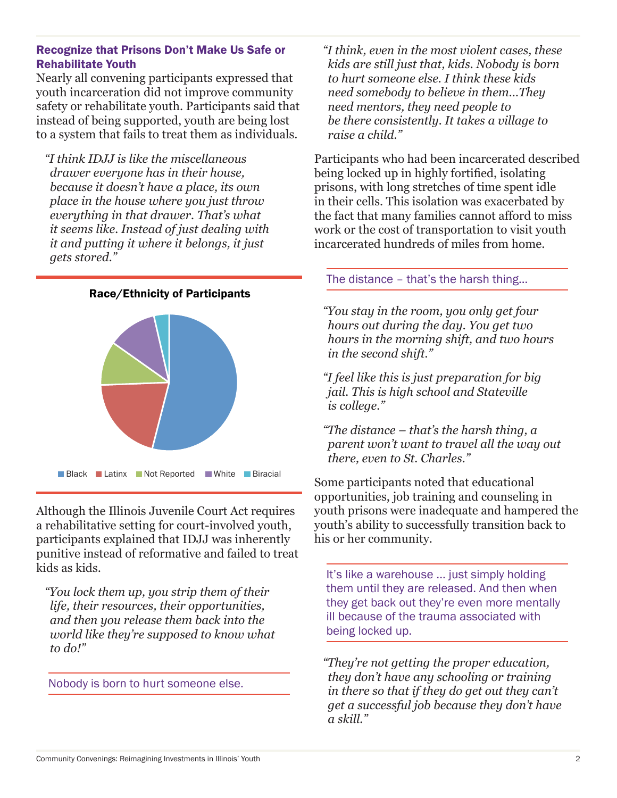### Recognize that Prisons Don't Make Us Safe or Rehabilitate Youth

Nearly all convening participants expressed that youth incarceration did not improve community safety or rehabilitate youth. Participants said that instead of being supported, youth are being lost to a system that fails to treat them as individuals.

*"I think IDJJ is like the miscellaneous drawer everyone has in their house, because it doesn't have a place, its own place in the house where you just throw everything in that drawer. That's what it seems like. Instead of just dealing with it and putting it where it belongs, it just gets stored."*



Although the Illinois Juvenile Court Act requires a rehabilitative setting for court-involved youth, participants explained that IDJJ was inherently punitive instead of reformative and failed to treat kids as kids.

*"You lock them up, you strip them of their life, their resources, their opportunities, and then you release them back into the world like they're supposed to know what to do!"*

Nobody is born to hurt someone else.

*"I think, even in the most violent cases, these kids are still just that, kids. Nobody is born to hurt someone else. I think these kids need somebody to believe in them…They need mentors, they need people to be there consistently. It takes a village to raise a child."* 

Participants who had been incarcerated described being locked up in highly fortified, isolating prisons, with long stretches of time spent idle in their cells. This isolation was exacerbated by the fact that many families cannot afford to miss work or the cost of transportation to visit youth incarcerated hundreds of miles from home.

# The distance – that's the harsh thing...

*"You stay in the room, you only get four hours out during the day. You get two hours in the morning shift, and two hours in the second shift."*

*"I feel like this is just preparation for big jail. This is high school and Stateville is college."*

*"The distance – that's the harsh thing, a parent won't want to travel all the way out there, even to St. Charles."*

Some participants noted that educational opportunities, job training and counseling in youth prisons were inadequate and hampered the youth's ability to successfully transition back to his or her community.

It's like a warehouse ... just simply holding them until they are released. And then when they get back out they're even more mentally ill because of the trauma associated with being locked up.

*"They're not getting the proper education, they don't have any schooling or training in there so that if they do get out they can't get a successful job because they don't have a skill."*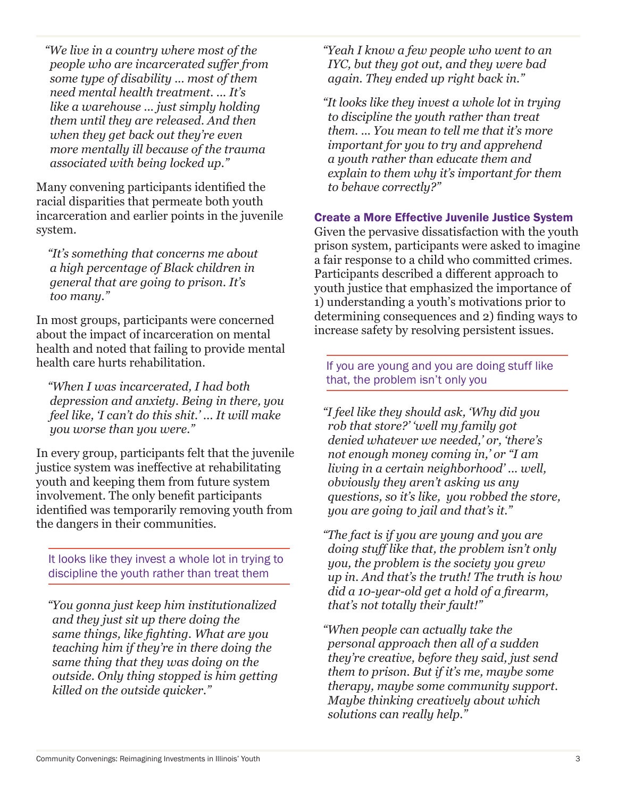*"We live in a country where most of the people who are incarcerated suffer from some type of disability ... most of them need mental health treatment. ... It's like a warehouse ... just simply holding them until they are released. And then when they get back out they're even more mentally ill because of the trauma associated with being locked up."*

Many convening participants identified the racial disparities that permeate both youth incarceration and earlier points in the juvenile system.

 *"It's something that concerns me about a high percentage of Black children in general that are going to prison. It's too many."*

In most groups, participants were concerned about the impact of incarceration on mental health and noted that failing to provide mental health care hurts rehabilitation.

 *"When I was incarcerated, I had both depression and anxiety. Being in there, you feel like, 'I can't do this shit.' ... It will make you worse than you were."*

In every group, participants felt that the juvenile justice system was ineffective at rehabilitating youth and keeping them from future system involvement. The only benefit participants identified was temporarily removing youth from the dangers in their communities.

It looks like they invest a whole lot in trying to discipline the youth rather than treat them

 *"You gonna just keep him institutionalized and they just sit up there doing the same things, like fighting. What are you teaching him if they're in there doing the same thing that they was doing on the outside. Only thing stopped is him getting killed on the outside quicker."* 

*"Yeah I know a few people who went to an IYC, but they got out, and they were bad again. They ended up right back in."*

*"It looks like they invest a whole lot in trying to discipline the youth rather than treat them. ... You mean to tell me that it's more important for you to try and apprehend a youth rather than educate them and explain to them why it's important for them to behave correctly?"* 

# Create a More Effective Juvenile Justice System

Given the pervasive dissatisfaction with the youth prison system, participants were asked to imagine a fair response to a child who committed crimes. Participants described a different approach to youth justice that emphasized the importance of 1) understanding a youth's motivations prior to determining consequences and 2) finding ways to increase safety by resolving persistent issues.

If you are young and you are doing stuff like that, the problem isn't only you

*"I feel like they should ask, 'Why did you rob that store?' 'well my family got denied whatever we needed,' or, 'there's not enough money coming in,' or "I am living in a certain neighborhood' ... well, obviously they aren't asking us any questions, so it's like, you robbed the store, you are going to jail and that's it."* 

*"The fact is if you are young and you are doing stuff like that, the problem isn't only you, the problem is the society you grew up in. And that's the truth! The truth is how did a 10-year-old get a hold of a firearm, that's not totally their fault!"* 

*"When people can actually take the personal approach then all of a sudden they're creative, before they said, just send them to prison. But if it's me, maybe some therapy, maybe some community support. Maybe thinking creatively about which solutions can really help."*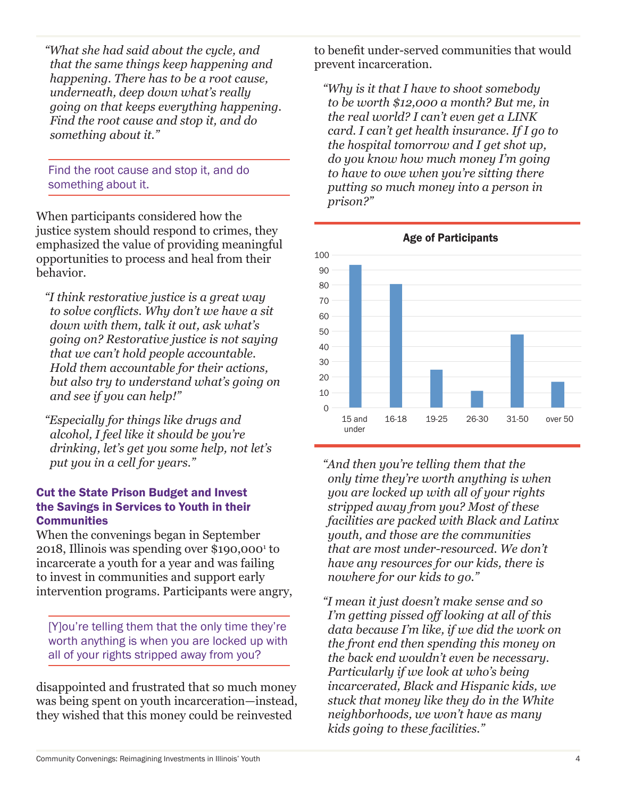*"What she had said about the cycle, and that the same things keep happening and happening. There has to be a root cause, underneath, deep down what's really going on that keeps everything happening. Find the root cause and stop it, and do something about it."*

Find the root cause and stop it, and do something about it.

When participants considered how the justice system should respond to crimes, they emphasized the value of providing meaningful opportunities to process and heal from their behavior.

*"I think restorative justice is a great way to solve conflicts. Why don't we have a sit down with them, talk it out, ask what's going on? Restorative justice is not saying that we can't hold people accountable. Hold them accountable for their actions, but also try to understand what's going on and see if you can help!"* 

*"Especially for things like drugs and alcohol, I feel like it should be you're drinking, let's get you some help, not let's put you in a cell for years."* 

### Cut the State Prison Budget and Invest the Savings in Services to Youth in their **Communities**

When the convenings began in September 2018, Illinois was spending over \$190,0001 to incarcerate a youth for a year and was failing to invest in communities and support early intervention programs. Participants were angry,

[Y]ou're telling them that the only time they're worth anything is when you are locked up with all of your rights stripped away from you?

disappointed and frustrated that so much money was being spent on youth incarceration—instead, they wished that this money could be reinvested

to benefit under-served communities that would prevent incarceration.

*"Why is it that I have to shoot somebody to be worth \$12,000 a month? But me, in the real world? I can't even get a LINK card. I can't get health insurance. If I go to the hospital tomorrow and I get shot up, do you know how much money I'm going to have to owe when you're sitting there putting so much money into a person in prison?"* 



Age of Participants

*"And then you're telling them that the only time they're worth anything is when you are locked up with all of your rights stripped away from you? Most of these facilities are packed with Black and Latinx youth, and those are the communities that are most under-resourced. We don't have any resources for our kids, there is nowhere for our kids to go."*

*"I mean it just doesn't make sense and so I'm getting pissed off looking at all of this data because I'm like, if we did the work on the front end then spending this money on the back end wouldn't even be necessary. Particularly if we look at who's being incarcerated, Black and Hispanic kids, we stuck that money like they do in the White neighborhoods, we won't have as many kids going to these facilities."*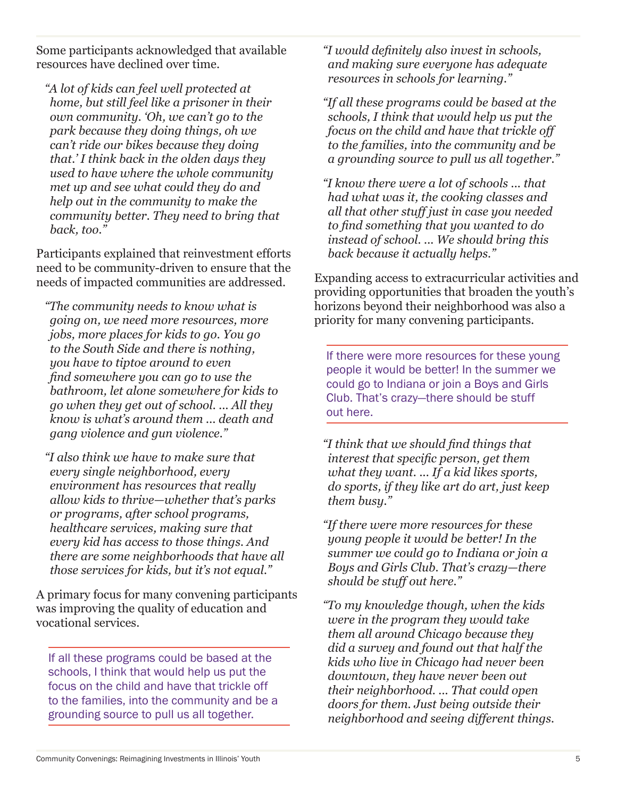Some participants acknowledged that available resources have declined over time.

*"A lot of kids can feel well protected at home, but still feel like a prisoner in their own community. 'Oh, we can't go to the park because they doing things, oh we can't ride our bikes because they doing that.' I think back in the olden days they used to have where the whole community met up and see what could they do and help out in the community to make the community better. They need to bring that back, too."* 

Participants explained that reinvestment efforts need to be community-driven to ensure that the needs of impacted communities are addressed.

*"The community needs to know what is going on, we need more resources, more jobs, more places for kids to go. You go to the South Side and there is nothing, you have to tiptoe around to even find somewhere you can go to use the bathroom, let alone somewhere for kids to go when they get out of school. ... All they know is what's around them ... death and gang violence and gun violence."* 

*"I also think we have to make sure that every single neighborhood, every environment has resources that really allow kids to thrive—whether that's parks or programs, after school programs, healthcare services, making sure that every kid has access to those things. And there are some neighborhoods that have all those services for kids, but it's not equal."* 

A primary focus for many convening participants was improving the quality of education and vocational services.

If all these programs could be based at the schools, I think that would help us put the focus on the child and have that trickle off to the families, into the community and be a grounding source to pull us all together.

*"I would definitely also invest in schools, and making sure everyone has adequate resources in schools for learning."*

*"If all these programs could be based at the schools, I think that would help us put the focus on the child and have that trickle off to the families, into the community and be a grounding source to pull us all together."*

*"I know there were a lot of schools ... that had what was it, the cooking classes and all that other stuff just in case you needed to find something that you wanted to do instead of school. ... We should bring this back because it actually helps."* 

Expanding access to extracurricular activities and providing opportunities that broaden the youth's horizons beyond their neighborhood was also a priority for many convening participants.

If there were more resources for these young people it would be better! In the summer we could go to Indiana or join a Boys and Girls Club. That's crazy—there should be stuff out here.

*"I think that we should find things that interest that specific person, get them what they want. ... If a kid likes sports, do sports, if they like art do art, just keep them busy."* 

*"If there were more resources for these young people it would be better! In the summer we could go to Indiana or join a Boys and Girls Club. That's crazy—there should be stuff out here."*

*"To my knowledge though, when the kids were in the program they would take them all around Chicago because they did a survey and found out that half the kids who live in Chicago had never been downtown, they have never been out their neighborhood. ... That could open doors for them. Just being outside their neighborhood and seeing different things.*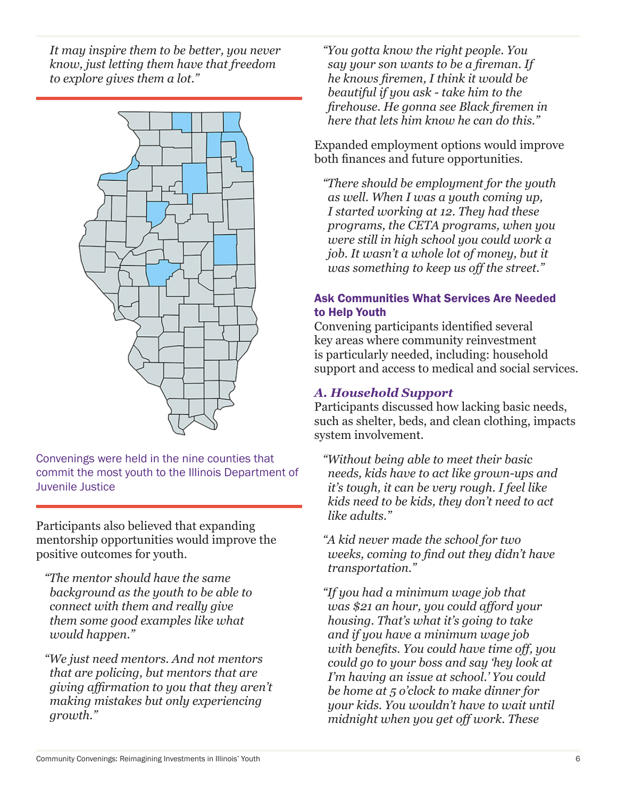*It may inspire them to be better, you never know, just letting them have that freedom to explore gives them a lot."* 



Convenings were held in the nine counties that commit the most youth to the Illinois Department of Juvenile Justice

Participants also believed that expanding mentorship opportunities would improve the positive outcomes for youth.

*"The mentor should have the same background as the youth to be able to connect with them and really give them some good examples like what would happen."*

*"We just need mentors. And not mentors that are policing, but mentors that are giving affirmation to you that they aren't making mistakes but only experiencing growth."* 

*"You gotta know the right people. You say your son wants to be a fireman. If he knows firemen, I think it would be beautiful if you ask - take him to the firehouse. He gonna see Black firemen in here that lets him know he can do this."* 

Expanded employment options would improve both finances and future opportunities.

*"There should be employment for the youth as well. When I was a youth coming up, I started working at 12. They had these programs, the CETA programs, when you were still in high school you could work a job. It wasn't a whole lot of money, but it was something to keep us off the street."* 

# Ask Communities What Services Are Needed to Help Youth

Convening participants identified several key areas where community reinvestment is particularly needed, including: household support and access to medical and social services.

# *A. Household Support*

Participants discussed how lacking basic needs, such as shelter, beds, and clean clothing, impacts system involvement.

*"Without being able to meet their basic needs, kids have to act like grown-ups and it's tough, it can be very rough. I feel like kids need to be kids, they don't need to act like adults."*

*"A kid never made the school for two weeks, coming to find out they didn't have transportation."*

*"If you had a minimum wage job that was \$21 an hour, you could afford your housing. That's what it's going to take and if you have a minimum wage job with benefits. You could have time off, you could go to your boss and say 'hey look at I'm having an issue at school.' You could be home at 5 o'clock to make dinner for your kids. You wouldn't have to wait until midnight when you get off work. These*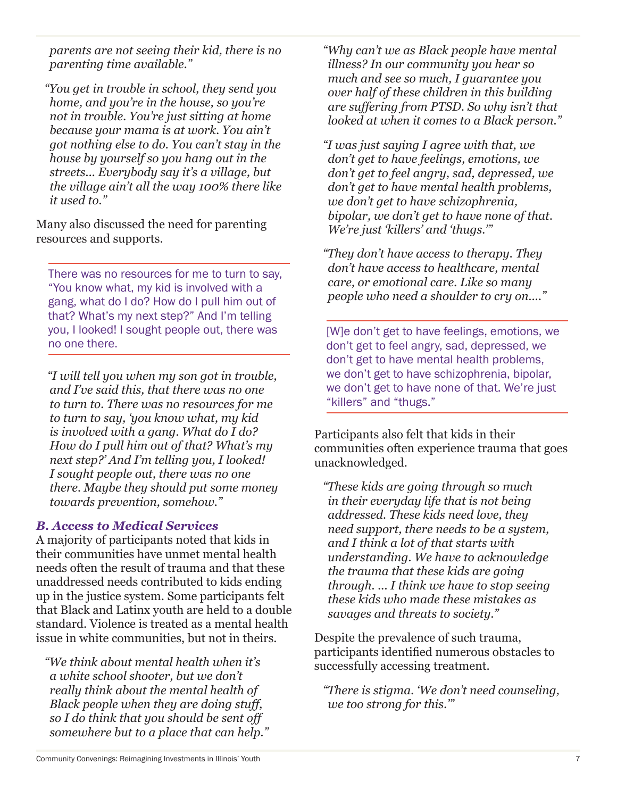*parents are not seeing their kid, there is no parenting time available."* 

*"You get in trouble in school, they send you home, and you're in the house, so you're not in trouble. You're just sitting at home because your mama is at work. You ain't got nothing else to do. You can't stay in the house by yourself so you hang out in the streets... Everybody say it's a village, but the village ain't all the way 100% there like it used to."* 

Many also discussed the need for parenting resources and supports.

There was no resources for me to turn to say, "You know what, my kid is involved with a gang, what do I do? How do I pull him out of that? What's my next step?" And I'm telling you, I looked! I sought people out, there was no one there.

 *"I will tell you when my son got in trouble, and I've said this, that there was no one to turn to. There was no resources for me to turn to say, 'you know what, my kid is involved with a gang. What do I do? How do I pull him out of that? What's my next step?' And I'm telling you, I looked! I sought people out, there was no one there. Maybe they should put some money towards prevention, somehow."* 

# *B. Access to Medical Services*

A majority of participants noted that kids in their communities have unmet mental health needs often the result of trauma and that these unaddressed needs contributed to kids ending up in the justice system. Some participants felt that Black and Latinx youth are held to a double standard. Violence is treated as a mental health issue in white communities, but not in theirs.

*"We think about mental health when it's a white school shooter, but we don't really think about the mental health of Black people when they are doing stuff, so I do think that you should be sent off somewhere but to a place that can help."* *"Why can't we as Black people have mental illness? In our community you hear so much and see so much, I guarantee you over half of these children in this building are suffering from PTSD. So why isn't that looked at when it comes to a Black person."*

*"I was just saying I agree with that, we don't get to have feelings, emotions, we don't get to feel angry, sad, depressed, we don't get to have mental health problems, we don't get to have schizophrenia, bipolar, we don't get to have none of that. We're just 'killers' and 'thugs.'"* 

*"They don't have access to therapy. They don't have access to healthcare, mental care, or emotional care. Like so many people who need a shoulder to cry on…."*

[W]e don't get to have feelings, emotions, we don't get to feel angry, sad, depressed, we don't get to have mental health problems, we don't get to have schizophrenia, bipolar, we don't get to have none of that. We're just "killers" and "thugs."

Participants also felt that kids in their communities often experience trauma that goes unacknowledged.

*"These kids are going through so much in their everyday life that is not being addressed. These kids need love, they need support, there needs to be a system, and I think a lot of that starts with understanding. We have to acknowledge the trauma that these kids are going through. ... I think we have to stop seeing these kids who made these mistakes as savages and threats to society."*

Despite the prevalence of such trauma, participants identified numerous obstacles to successfully accessing treatment.

*"There is stigma. 'We don't need counseling, we too strong for this.'"*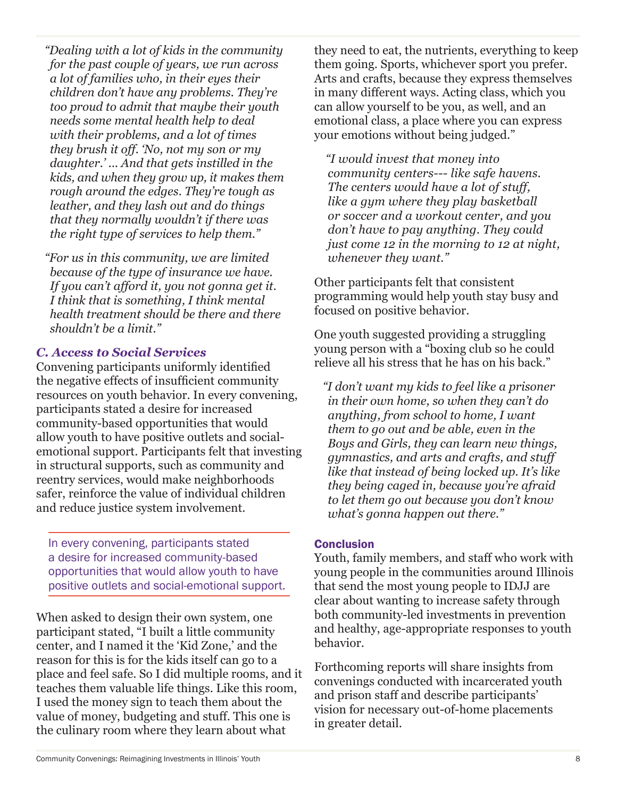*"Dealing with a lot of kids in the community for the past couple of years, we run across a lot of families who, in their eyes their children don't have any problems. They're too proud to admit that maybe their youth needs some mental health help to deal with their problems, and a lot of times they brush it off. 'No, not my son or my daughter.' ... And that gets instilled in the kids, and when they grow up, it makes them rough around the edges. They're tough as leather, and they lash out and do things that they normally wouldn't if there was the right type of services to help them."*

*"For us in this community, we are limited because of the type of insurance we have. If you can't afford it, you not gonna get it. I think that is something, I think mental health treatment should be there and there shouldn't be a limit."* 

# *C. Access to Social Services*

Convening participants uniformly identified the negative effects of insufficient community resources on youth behavior. In every convening, participants stated a desire for increased community-based opportunities that would allow youth to have positive outlets and socialemotional support. Participants felt that investing in structural supports, such as community and reentry services, would make neighborhoods safer, reinforce the value of individual children and reduce justice system involvement.

In every convening, participants stated a desire for increased community-based opportunities that would allow youth to have positive outlets and social-emotional support.

When asked to design their own system, one participant stated, "I built a little community center, and I named it the 'Kid Zone,' and the reason for this is for the kids itself can go to a place and feel safe. So I did multiple rooms, and it teaches them valuable life things. Like this room, I used the money sign to teach them about the value of money, budgeting and stuff. This one is the culinary room where they learn about what

they need to eat, the nutrients, everything to keep them going. Sports, whichever sport you prefer. Arts and crafts, because they express themselves in many different ways. Acting class, which you can allow yourself to be you, as well, and an emotional class, a place where you can express your emotions without being judged."

 *"I would invest that money into community centers--- like safe havens. The centers would have a lot of stuff, like a gym where they play basketball or soccer and a workout center, and you don't have to pay anything. They could just come 12 in the morning to 12 at night, whenever they want."* 

Other participants felt that consistent programming would help youth stay busy and focused on positive behavior.

One youth suggested providing a struggling young person with a "boxing club so he could relieve all his stress that he has on his back."

*"I don't want my kids to feel like a prisoner in their own home, so when they can't do anything, from school to home, I want them to go out and be able, even in the Boys and Girls, they can learn new things, gymnastics, and arts and crafts, and stuff like that instead of being locked up. It's like they being caged in, because you're afraid to let them go out because you don't know what's gonna happen out there."* 

# **Conclusion**

Youth, family members, and staff who work with young people in the communities around Illinois that send the most young people to IDJJ are clear about wanting to increase safety through both community-led investments in prevention and healthy, age-appropriate responses to youth behavior.

Forthcoming reports will share insights from convenings conducted with incarcerated youth and prison staff and describe participants' vision for necessary out-of-home placements in greater detail.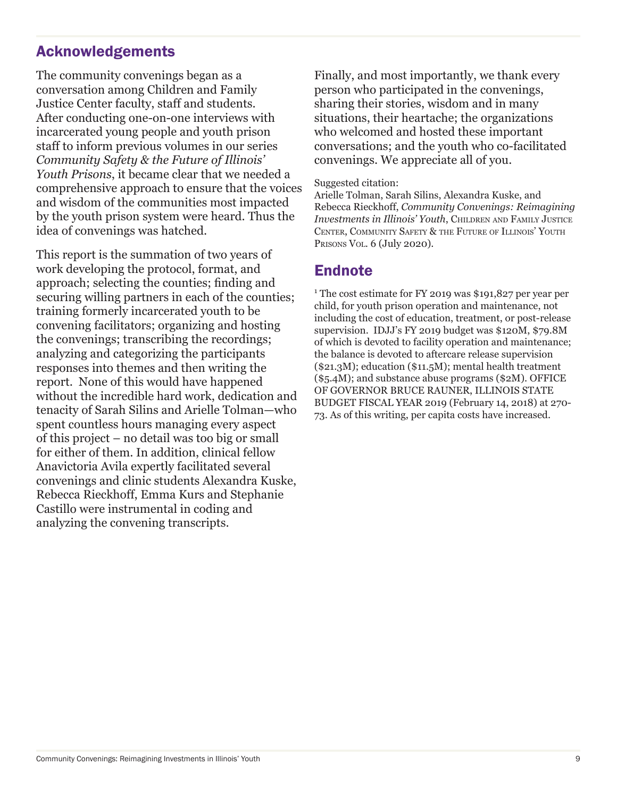# Acknowledgements

The community convenings began as a conversation among Children and Family Justice Center faculty, staff and students. After conducting one-on-one interviews with incarcerated young people and youth prison staff to inform previous volumes in our series *Community Safety & the Future of Illinois' Youth Prisons*, it became clear that we needed a comprehensive approach to ensure that the voices and wisdom of the communities most impacted by the youth prison system were heard. Thus the idea of convenings was hatched.

This report is the summation of two years of work developing the protocol, format, and approach; selecting the counties; finding and securing willing partners in each of the counties; training formerly incarcerated youth to be convening facilitators; organizing and hosting the convenings; transcribing the recordings; analyzing and categorizing the participants responses into themes and then writing the report. None of this would have happened without the incredible hard work, dedication and tenacity of Sarah Silins and Arielle Tolman—who spent countless hours managing every aspect of this project – no detail was too big or small for either of them. In addition, clinical fellow Anavictoria Avila expertly facilitated several convenings and clinic students Alexandra Kuske, Rebecca Rieckhoff, Emma Kurs and Stephanie Castillo were instrumental in coding and analyzing the convening transcripts.

Finally, and most importantly, we thank every person who participated in the convenings, sharing their stories, wisdom and in many situations, their heartache; the organizations who welcomed and hosted these important conversations; and the youth who co-facilitated convenings. We appreciate all of you.

#### Suggested citation:

Arielle Tolman, Sarah Silins, Alexandra Kuske, and Rebecca Rieckhoff, *Community Convenings: Reimagining Investments in Illinois' Youth*, Children and Family Justice CENTER, COMMUNITY SAFETY & THE FUTURE OF ILLINOIS' YOUTH PRISONS VOL. 6 (July 2020).

# **Endnote**

<sup>1</sup> The cost estimate for FY 2019 was \$191,827 per year per child, for youth prison operation and maintenance, not including the cost of education, treatment, or post-release supervision. IDJJ's FY 2019 budget was \$120M, \$79.8M of which is devoted to facility operation and maintenance; the balance is devoted to aftercare release supervision (\$21.3M); education (\$11.5M); mental health treatment (\$5.4M); and substance abuse programs (\$2M). OFFICE OF GOVERNOR BRUCE RAUNER, ILLINOIS STATE BUDGET FISCAL YEAR 2019 (February 14, 2018) at 270- 73. As of this writing, per capita costs have increased.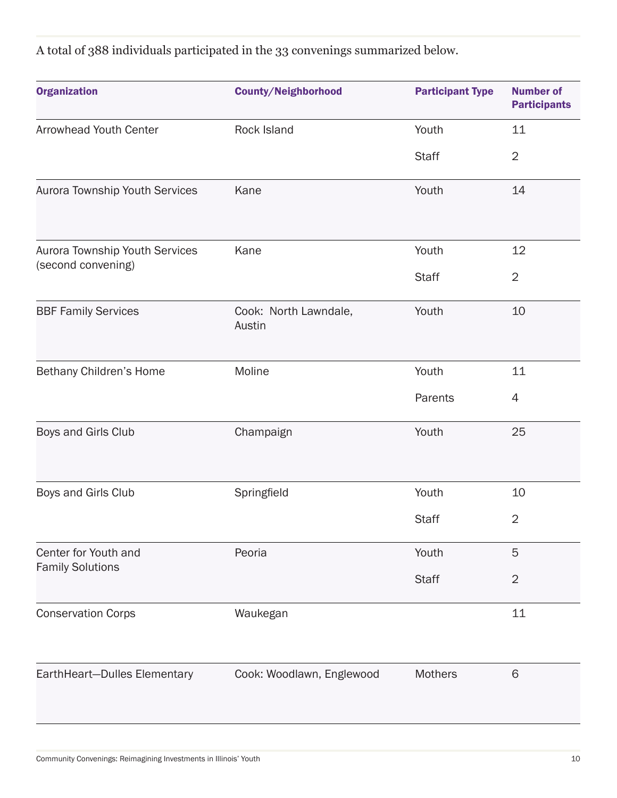A total of 388 individuals participated in the 33 convenings summarized below.

| <b>Organization</b>                                  | <b>County/Neighborhood</b>      | <b>Participant Type</b> | <b>Number of</b><br><b>Participants</b> |
|------------------------------------------------------|---------------------------------|-------------------------|-----------------------------------------|
| Arrowhead Youth Center                               | Rock Island                     | Youth                   | 11                                      |
|                                                      |                                 | <b>Staff</b>            | $\overline{2}$                          |
| Aurora Township Youth Services                       | Kane                            | Youth                   | 14                                      |
|                                                      |                                 |                         |                                         |
| Aurora Township Youth Services<br>(second convening) | Kane                            | Youth                   | 12                                      |
|                                                      |                                 | <b>Staff</b>            | $\overline{2}$                          |
| <b>BBF Family Services</b>                           | Cook: North Lawndale,<br>Austin | Youth                   | 10                                      |
| Bethany Children's Home                              | Moline                          | Youth                   | 11                                      |
|                                                      |                                 | Parents                 | 4                                       |
| Boys and Girls Club                                  | Champaign                       | Youth                   | 25                                      |
| Boys and Girls Club                                  | Springfield                     | Youth                   | 10                                      |
|                                                      |                                 | <b>Staff</b>            | $\overline{2}$                          |
| Center for Youth and<br><b>Family Solutions</b>      | Peoria                          | Youth                   | 5                                       |
|                                                      |                                 | <b>Staff</b>            | $\overline{2}$                          |
| <b>Conservation Corps</b>                            | Waukegan                        |                         | 11                                      |
| EarthHeart-Dulles Elementary                         | Cook: Woodlawn, Englewood       | <b>Mothers</b>          | 6                                       |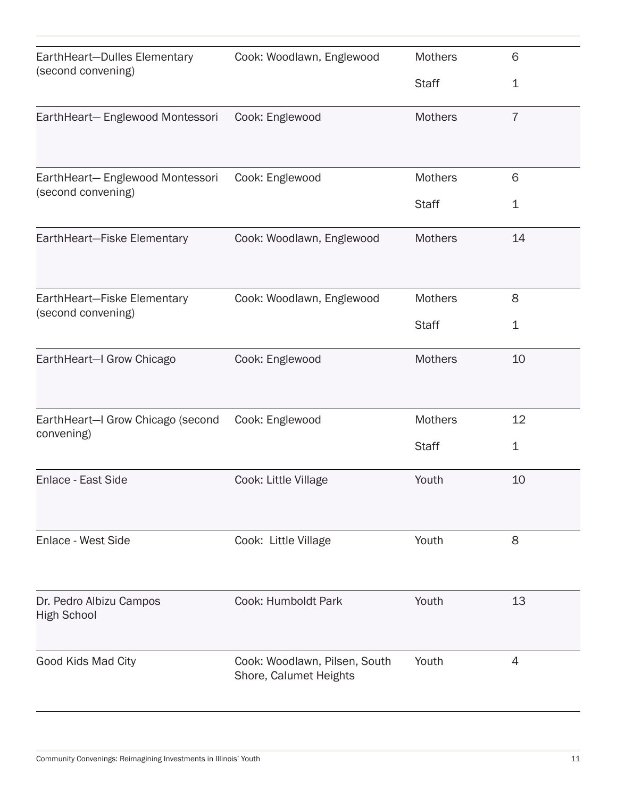| EarthHeart-Dulles Elementary<br>(second convening)    | Cook: Woodlawn, Englewood                               | <b>Mothers</b> | 6              |
|-------------------------------------------------------|---------------------------------------------------------|----------------|----------------|
|                                                       |                                                         | <b>Staff</b>   | $\mathbf 1$    |
| EarthHeart-Englewood Montessori                       | Cook: Englewood                                         | <b>Mothers</b> | $\overline{7}$ |
|                                                       |                                                         |                |                |
| EarthHeart-Englewood Montessori<br>(second convening) | Cook: Englewood                                         | Mothers        | 6              |
|                                                       |                                                         | <b>Staff</b>   | $\mathbf 1$    |
| EarthHeart-Fiske Elementary                           | Cook: Woodlawn, Englewood                               | <b>Mothers</b> | 14             |
|                                                       |                                                         |                |                |
| EarthHeart-Fiske Elementary<br>(second convening)     | Cook: Woodlawn, Englewood                               | <b>Mothers</b> | 8              |
|                                                       |                                                         | <b>Staff</b>   | $\mathbf 1$    |
| EarthHeart-I Grow Chicago                             | Cook: Englewood                                         | <b>Mothers</b> | 10             |
|                                                       |                                                         |                |                |
| EarthHeart-I Grow Chicago (second<br>convening)       | Cook: Englewood                                         | <b>Mothers</b> | 12             |
|                                                       |                                                         | <b>Staff</b>   | $\mathbf 1$    |
| Enlace - East Side                                    | Cook: Little Village                                    | Youth          | 10             |
|                                                       |                                                         |                |                |
| Enlace - West Side                                    | Cook: Little Village                                    | Youth          | 8              |
|                                                       |                                                         |                |                |
| Dr. Pedro Albizu Campos<br><b>High School</b>         | Cook: Humboldt Park                                     | Youth          | 13             |
|                                                       |                                                         |                |                |
| Good Kids Mad City                                    | Cook: Woodlawn, Pilsen, South<br>Shore, Calumet Heights | Youth          | $\overline{4}$ |
|                                                       |                                                         |                |                |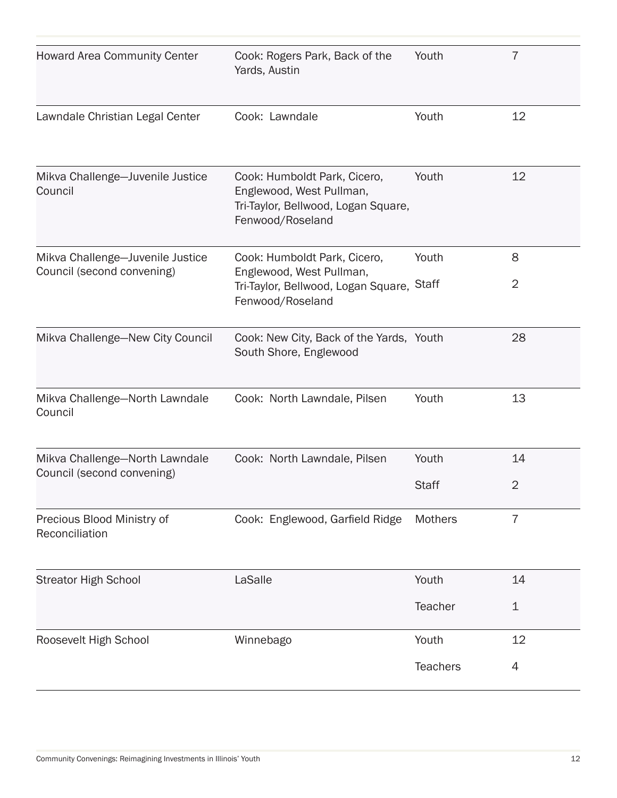| <b>Howard Area Community Center</b>                            | Cook: Rogers Park, Back of the<br>Yards, Austin                                                                     | Youth           | $\overline{7}$ |
|----------------------------------------------------------------|---------------------------------------------------------------------------------------------------------------------|-----------------|----------------|
| Lawndale Christian Legal Center                                | Cook: Lawndale                                                                                                      | Youth           | 12             |
| Mikva Challenge-Juvenile Justice<br>Council                    | Cook: Humboldt Park, Cicero,<br>Englewood, West Pullman,<br>Tri-Taylor, Bellwood, Logan Square,<br>Fenwood/Roseland | Youth           | 12             |
| Mikva Challenge-Juvenile Justice<br>Council (second convening) | Cook: Humboldt Park, Cicero,<br>Englewood, West Pullman,<br>Tri-Taylor, Bellwood, Logan Square,<br>Fenwood/Roseland | Youth           | 8              |
|                                                                |                                                                                                                     | <b>Staff</b>    | $\overline{2}$ |
| Mikva Challenge-New City Council                               | Cook: New City, Back of the Yards, Youth<br>South Shore, Englewood                                                  |                 | 28             |
| Mikva Challenge-North Lawndale<br>Council                      | Cook: North Lawndale, Pilsen                                                                                        | Youth           | 13             |
| Mikva Challenge-North Lawndale<br>Council (second convening)   | Cook: North Lawndale, Pilsen                                                                                        | Youth           | 14             |
|                                                                |                                                                                                                     | <b>Staff</b>    | $\overline{2}$ |
| Precious Blood Ministry of<br>Reconciliation                   | Cook: Englewood, Garfield Ridge                                                                                     | Mothers         | $\overline{7}$ |
| <b>Streator High School</b>                                    | LaSalle                                                                                                             | Youth           | 14             |
|                                                                |                                                                                                                     | Teacher         | $\mathbf 1$    |
| Roosevelt High School                                          | Winnebago                                                                                                           | Youth           | 12             |
|                                                                |                                                                                                                     | <b>Teachers</b> | 4              |